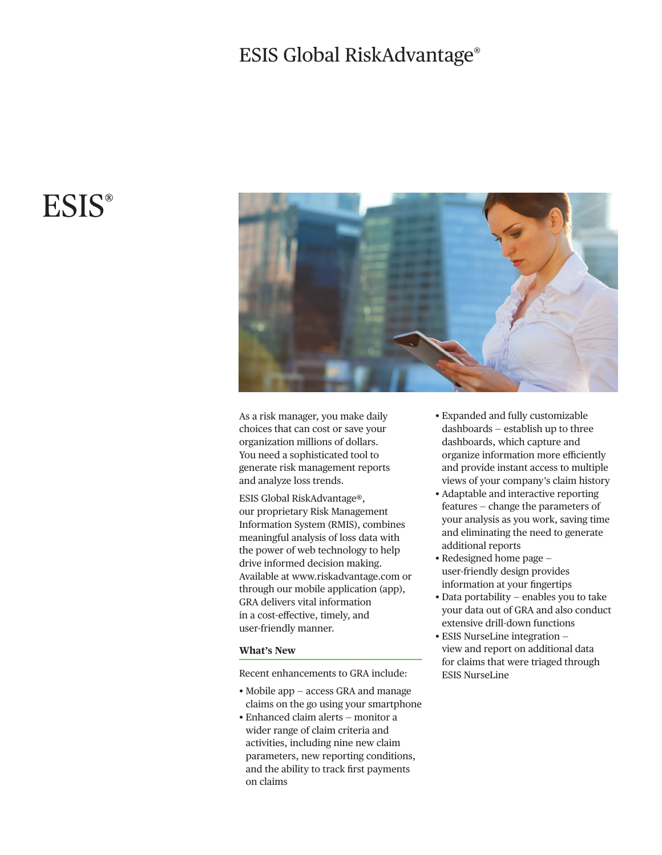## ESIS Global RiskAdvantage®

# **ESIS®**



As a risk manager, you make daily choices that can cost or save your organization millions of dollars. You need a sophisticated tool to generate risk management reports and analyze loss trends.

ESIS Global RiskAdvantage®, our proprietary Risk Management Information System (RMIS), combines meaningful analysis of loss data with the power of web technology to help drive informed decision making. Availableat www.riskadvantage.com or through our mobile application (app), GRA delivers vital information in a cost-efective, timely, and user-friendly manner.

#### **What's New**

Recent enhancements to GRA include:

- Mobile app access GRA and manage claims on the go using your smartphone
- Enhanced claim alerts monitor a wider range of claim criteria and activities, including nine new claim parameters, new reporting conditions, and the ability to track frst payments on claims
- Expanded and fully customizable dashboards — establish up to three dashboards, which capture and organize information more efficiently and provide instant access to multiple views of your company's claim history
- Adaptable and interactive reporting features — change the parameters of your analysis as you work, saving time and eliminating the need to generate additional reports
- Redesigned home page user-friendly design provides information at your fngertips
- Data portability enables you to take your data out of GRA and also conduct extensive drill-down functions
- ESIS NurseLine integration view and report on additional data for claims that were triaged through ESIS NurseLine